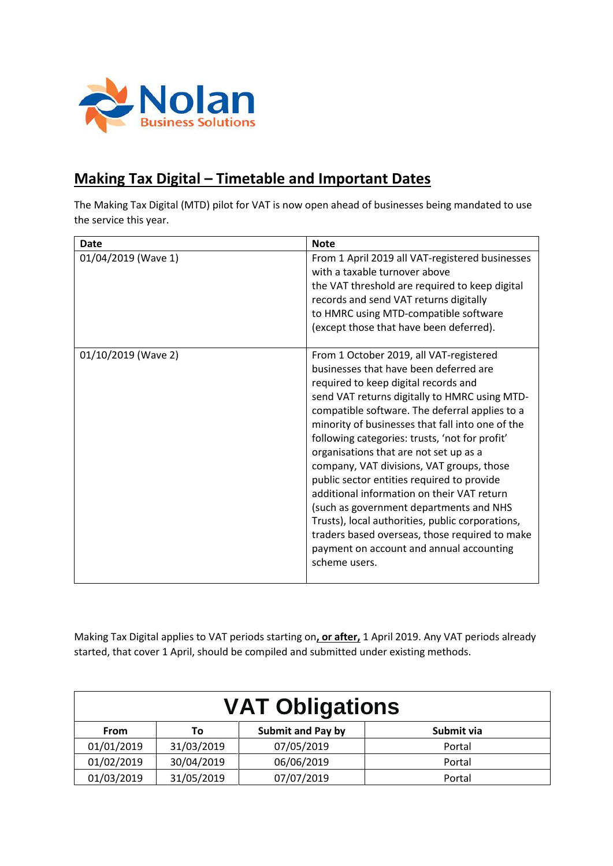

## **Making Tax Digital – Timetable and Important Dates**

The Making Tax Digital (MTD) pilot for VAT is now open ahead of businesses being mandated to use the service this year.

| Date                | <b>Note</b>                                                                                                                                                                                                                                                                                                                                                                                                                                                                                                                                                                                                                                                                                                                         |
|---------------------|-------------------------------------------------------------------------------------------------------------------------------------------------------------------------------------------------------------------------------------------------------------------------------------------------------------------------------------------------------------------------------------------------------------------------------------------------------------------------------------------------------------------------------------------------------------------------------------------------------------------------------------------------------------------------------------------------------------------------------------|
| 01/04/2019 (Wave 1) | From 1 April 2019 all VAT-registered businesses<br>with a taxable turnover above<br>the VAT threshold are required to keep digital<br>records and send VAT returns digitally<br>to HMRC using MTD-compatible software<br>(except those that have been deferred).                                                                                                                                                                                                                                                                                                                                                                                                                                                                    |
| 01/10/2019 (Wave 2) | From 1 October 2019, all VAT-registered<br>businesses that have been deferred are<br>required to keep digital records and<br>send VAT returns digitally to HMRC using MTD-<br>compatible software. The deferral applies to a<br>minority of businesses that fall into one of the<br>following categories: trusts, 'not for profit'<br>organisations that are not set up as a<br>company, VAT divisions, VAT groups, those<br>public sector entities required to provide<br>additional information on their VAT return<br>(such as government departments and NHS<br>Trusts), local authorities, public corporations,<br>traders based overseas, those required to make<br>payment on account and annual accounting<br>scheme users. |

Making Tax Digital applies to VAT periods starting on**, or after,** 1 April 2019. Any VAT periods already started, that cover 1 April, should be compiled and submitted under existing methods.

| <b>VAT Obligations</b> |            |                          |            |  |
|------------------------|------------|--------------------------|------------|--|
| From                   | To:        | <b>Submit and Pay by</b> | Submit via |  |
| 01/01/2019             | 31/03/2019 | 07/05/2019               | Portal     |  |
| 01/02/2019             | 30/04/2019 | 06/06/2019               | Portal     |  |
| 01/03/2019             | 31/05/2019 | 07/07/2019               | Portal     |  |